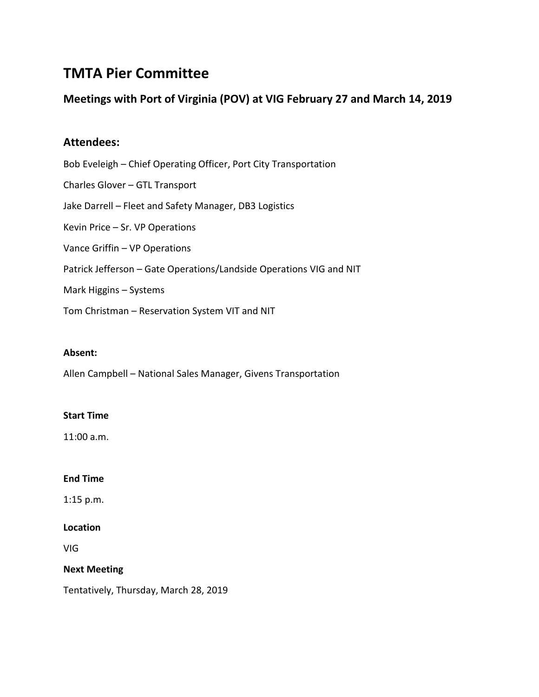# **TMTA Pier Committee**

# **Meetings with Port of Virginia (POV) at VIG February 27 and March 14, 2019**

# **Attendees:**

Bob Eveleigh – Chief Operating Officer, Port City Transportation Charles Glover – GTL Transport Jake Darrell – Fleet and Safety Manager, DB3 Logistics Kevin Price – Sr. VP Operations Vance Griffin – VP Operations Patrick Jefferson – Gate Operations/Landside Operations VIG and NIT Mark Higgins – Systems Tom Christman – Reservation System VIT and NIT

#### **Absent:**

Allen Campbell – National Sales Manager, Givens Transportation

#### **Start Time**

11:00 a.m.

#### **End Time**

1:15 p.m.

#### **Location**

VIG

#### **Next Meeting**

Tentatively, Thursday, March 28, 2019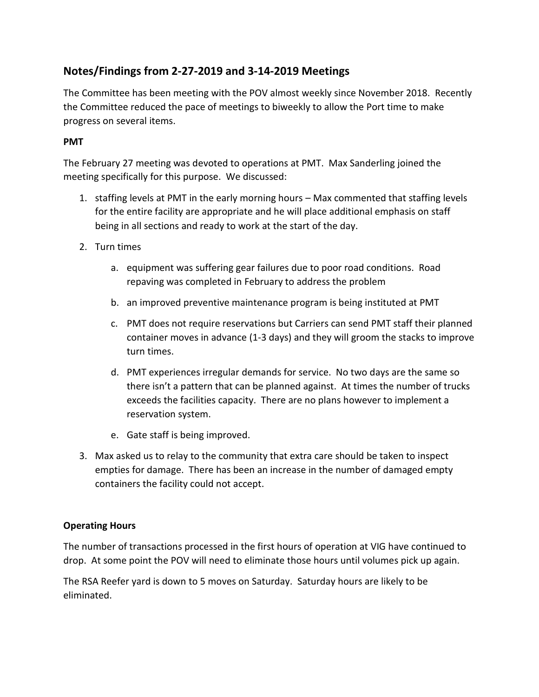# **Notes/Findings from 2-27-2019 and 3-14-2019 Meetings**

The Committee has been meeting with the POV almost weekly since November 2018. Recently the Committee reduced the pace of meetings to biweekly to allow the Port time to make progress on several items.

### **PMT**

The February 27 meeting was devoted to operations at PMT. Max Sanderling joined the meeting specifically for this purpose. We discussed:

- 1. staffing levels at PMT in the early morning hours Max commented that staffing levels for the entire facility are appropriate and he will place additional emphasis on staff being in all sections and ready to work at the start of the day.
- 2. Turn times
	- a. equipment was suffering gear failures due to poor road conditions. Road repaving was completed in February to address the problem
	- b. an improved preventive maintenance program is being instituted at PMT
	- c. PMT does not require reservations but Carriers can send PMT staff their planned container moves in advance (1-3 days) and they will groom the stacks to improve turn times.
	- d. PMT experiences irregular demands for service. No two days are the same so there isn't a pattern that can be planned against. At times the number of trucks exceeds the facilities capacity. There are no plans however to implement a reservation system.
	- e. Gate staff is being improved.
- 3. Max asked us to relay to the community that extra care should be taken to inspect empties for damage. There has been an increase in the number of damaged empty containers the facility could not accept.

### **Operating Hours**

The number of transactions processed in the first hours of operation at VIG have continued to drop. At some point the POV will need to eliminate those hours until volumes pick up again.

The RSA Reefer yard is down to 5 moves on Saturday. Saturday hours are likely to be eliminated.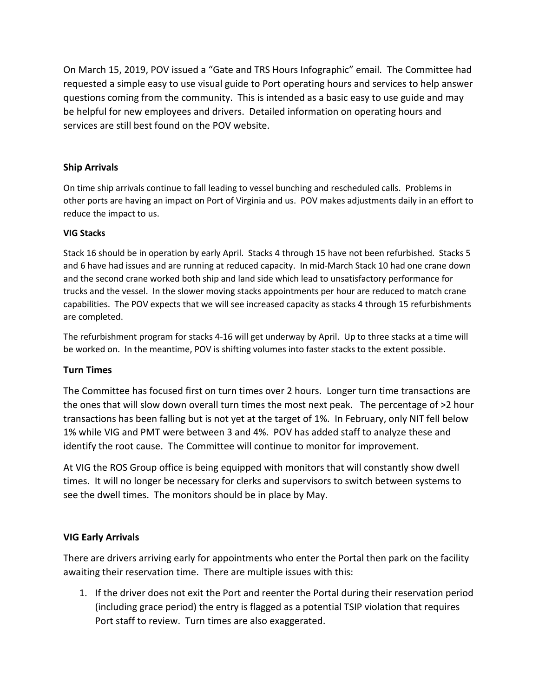On March 15, 2019, POV issued a "Gate and TRS Hours Infographic" email. The Committee had requested a simple easy to use visual guide to Port operating hours and services to help answer questions coming from the community. This is intended as a basic easy to use guide and may be helpful for new employees and drivers. Detailed information on operating hours and services are still best found on the POV website.

#### **Ship Arrivals**

On time ship arrivals continue to fall leading to vessel bunching and rescheduled calls. Problems in other ports are having an impact on Port of Virginia and us. POV makes adjustments daily in an effort to reduce the impact to us.

#### **VIG Stacks**

Stack 16 should be in operation by early April. Stacks 4 through 15 have not been refurbished. Stacks 5 and 6 have had issues and are running at reduced capacity. In mid-March Stack 10 had one crane down and the second crane worked both ship and land side which lead to unsatisfactory performance for trucks and the vessel. In the slower moving stacks appointments per hour are reduced to match crane capabilities. The POV expects that we will see increased capacity as stacks 4 through 15 refurbishments are completed.

The refurbishment program for stacks 4-16 will get underway by April. Up to three stacks at a time will be worked on. In the meantime, POV is shifting volumes into faster stacks to the extent possible.

#### **Turn Times**

The Committee has focused first on turn times over 2 hours. Longer turn time transactions are the ones that will slow down overall turn times the most next peak. The percentage of >2 hour transactions has been falling but is not yet at the target of 1%. In February, only NIT fell below 1% while VIG and PMT were between 3 and 4%. POV has added staff to analyze these and identify the root cause. The Committee will continue to monitor for improvement.

At VIG the ROS Group office is being equipped with monitors that will constantly show dwell times. It will no longer be necessary for clerks and supervisors to switch between systems to see the dwell times. The monitors should be in place by May.

### **VIG Early Arrivals**

There are drivers arriving early for appointments who enter the Portal then park on the facility awaiting their reservation time. There are multiple issues with this:

1. If the driver does not exit the Port and reenter the Portal during their reservation period (including grace period) the entry is flagged as a potential TSIP violation that requires Port staff to review. Turn times are also exaggerated.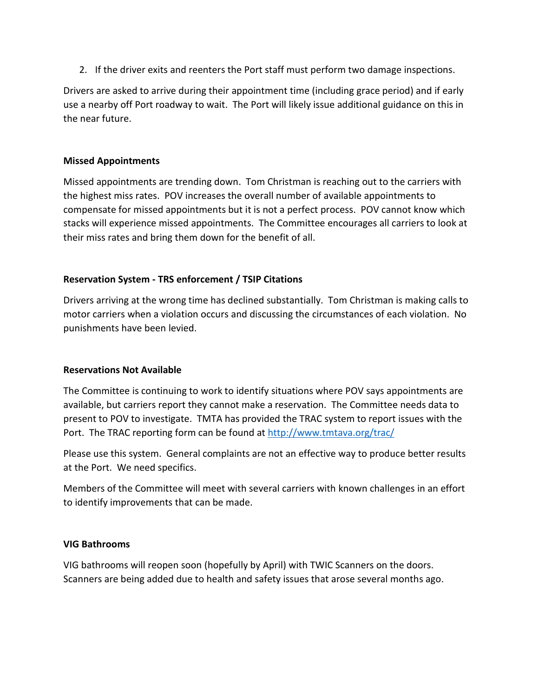2. If the driver exits and reenters the Port staff must perform two damage inspections.

Drivers are asked to arrive during their appointment time (including grace period) and if early use a nearby off Port roadway to wait. The Port will likely issue additional guidance on this in the near future.

#### **Missed Appointments**

Missed appointments are trending down. Tom Christman is reaching out to the carriers with the highest miss rates. POV increases the overall number of available appointments to compensate for missed appointments but it is not a perfect process. POV cannot know which stacks will experience missed appointments. The Committee encourages all carriers to look at their miss rates and bring them down for the benefit of all.

#### **Reservation System - TRS enforcement / TSIP Citations**

Drivers arriving at the wrong time has declined substantially. Tom Christman is making calls to motor carriers when a violation occurs and discussing the circumstances of each violation. No punishments have been levied.

#### **Reservations Not Available**

The Committee is continuing to work to identify situations where POV says appointments are available, but carriers report they cannot make a reservation. The Committee needs data to present to POV to investigate. TMTA has provided the TRAC system to report issues with the Port. The TRAC reporting form can be found at<http://www.tmtava.org/trac/>

Please use this system. General complaints are not an effective way to produce better results at the Port. We need specifics.

Members of the Committee will meet with several carriers with known challenges in an effort to identify improvements that can be made.

#### **VIG Bathrooms**

VIG bathrooms will reopen soon (hopefully by April) with TWIC Scanners on the doors. Scanners are being added due to health and safety issues that arose several months ago.